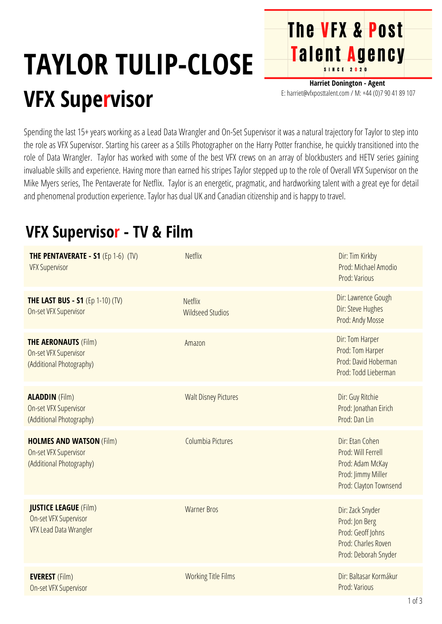## **TAYLOR TULIP-CLOSE VFX Supervisor**

**Harriet Donington - Agent** E: harriet@vfxposttalent.com / M:+44(0)7904189107

**The VFX & Post** 

Talent Agency

Spending the last 15+ years working as a Lead Data Wrangler and On-Set Supervisor it was a natural trajectory for Taylor to step into the role as VFX Supervisor. Starting his career as a Stills Photographer on the Harry Potter franchise, he quickly transitioned into the role of Data Wrangler. Taylor has worked with some of the best VFX crews on an array of blockbusters and HETV series gaining invaluable skills and experience. Having more than earned his stripes Taylor stepped up to the role of Overall VFX Supervisor on the Mike Myers series, The Pentaverate for Netflix. Taylor is an energetic, pragmatic, and hardworking talent with a great eye for detail and phenomenal production experience. Taylor has dual UK and Canadian citizenship and is happy to travel.

## **VFX Supervisor - TV & Film**

| <b>THE PENTAVERATE - S1 (Ep 1-6) (TV)</b><br><b>VFX Supervisor</b>                      | <b>Netflix</b>                            | Dir: Tim Kirkby<br>Prod: Michael Amodio<br>Prod: Various                                                  |
|-----------------------------------------------------------------------------------------|-------------------------------------------|-----------------------------------------------------------------------------------------------------------|
| <b>THE LAST BUS - S1 (Ep 1-10) (TV)</b><br>On-set VFX Supervisor                        | <b>Netflix</b><br><b>Wildseed Studios</b> | Dir: Lawrence Gough<br>Dir: Steve Hughes<br>Prod: Andy Mosse                                              |
| <b>THE AERONAUTS (Film)</b><br><b>On-set VFX Supervisor</b><br>(Additional Photography) | Amazon                                    | Dir: Tom Harper<br>Prod: Tom Harper<br>Prod: David Hoberman<br>Prod: Todd Lieberman                       |
| <b>ALADDIN</b> (Film)<br><b>On-set VFX Supervisor</b><br>(Additional Photography)       | <b>Walt Disney Pictures</b>               | Dir: Guy Ritchie<br>Prod: Jonathan Eirich<br>Prod: Dan Lin                                                |
| <b>HOLMES AND WATSON (Film)</b><br>On-set VFX Supervisor<br>(Additional Photography)    | Columbia Pictures                         | Dir: Etan Cohen<br>Prod: Will Ferrell<br>Prod: Adam McKay<br>Prod: Jimmy Miller<br>Prod: Clayton Townsend |
| <b>JUSTICE LEAGUE (Film)</b><br>On-set VFX Supervisor<br><b>VFX Lead Data Wrangler</b>  | <b>Warner Bros</b>                        | Dir: Zack Snyder<br>Prod: Jon Berg<br>Prod: Geoff Johns<br>Prod: Charles Roven<br>Prod: Deborah Snyder    |
| <b>EVEREST</b> (Film)<br>On-set VFX Supervisor                                          | <b>Working Title Films</b>                | Dir: Baltasar Kormákur<br>Prod: Various                                                                   |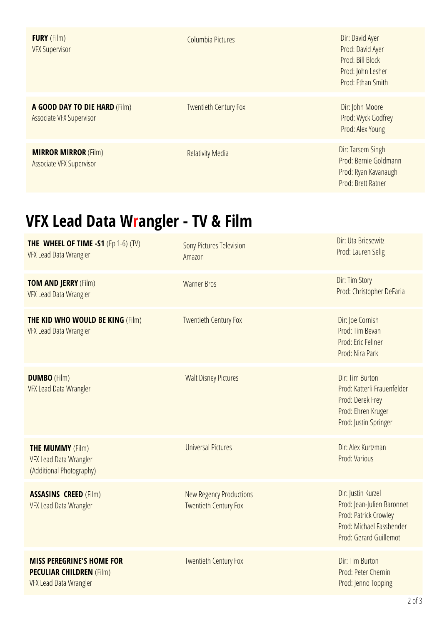| <b>FURY</b> (Film)<br><b>VFX Supervisor</b>                      | Columbia Pictures            | Dir: David Ayer<br>Prod: David Ayer<br>Prod: Bill Block<br>Prod: John Lesher<br>Prod: Ethan Smith |
|------------------------------------------------------------------|------------------------------|---------------------------------------------------------------------------------------------------|
| A GOOD DAY TO DIE HARD (Film)<br><b>Associate VFX Supervisor</b> | <b>Twentieth Century Fox</b> | Dir: John Moore<br>Prod: Wyck Godfrey<br>Prod: Alex Young                                         |
| <b>MIRROR MIRROR (Film)</b><br>Associate VFX Supervisor          | <b>Relativity Media</b>      | Dir: Tarsem Singh<br>Prod: Bernie Goldmann<br>Prod: Ryan Kavanaugh<br><b>Prod: Brett Ratner</b>   |

## **VFX Lead Data Wrangler - TV & Film**

| THE WHEEL OF TIME -S1 $(Ep 1-6)$ (TV)<br>VFX Lead Data Wrangler                               | <b>Sony Pictures Television</b><br>Amazon                      | Dir: Uta Briesewitz<br>Prod: Lauren Selig                                                                                              |
|-----------------------------------------------------------------------------------------------|----------------------------------------------------------------|----------------------------------------------------------------------------------------------------------------------------------------|
| <b>TOM AND JERRY (Film)</b><br><b>VFX Lead Data Wrangler</b>                                  | <b>Warner Bros</b>                                             | Dir: Tim Story<br>Prod: Christopher DeFaria                                                                                            |
| <b>THE KID WHO WOULD BE KING (Film)</b><br>VFX Lead Data Wrangler                             | <b>Twentieth Century Fox</b>                                   | Dir: Joe Cornish<br>Prod: Tim Bevan<br>Prod: Eric Fellner<br>Prod: Nira Park                                                           |
| <b>DUMBO</b> (Film)<br>VFX Lead Data Wrangler                                                 | <b>Walt Disney Pictures</b>                                    | Dir: Tim Burton<br>Prod: Katterli Frauenfelder<br>Prod: Derek Frey<br>Prod: Ehren Kruger<br>Prod: Justin Springer                      |
| <b>THE MUMMY (Film)</b><br>VFX Lead Data Wrangler<br>(Additional Photography)                 | <b>Universal Pictures</b>                                      | Dir: Alex Kurtzman<br>Prod: Various                                                                                                    |
| <b>ASSASINS CREED (Film)</b><br>VFX Lead Data Wrangler                                        | <b>New Regency Productions</b><br><b>Twentieth Century Fox</b> | Dir: Justin Kurzel<br>Prod: Jean-Julien Baronnet<br>Prod: Patrick Crowley<br>Prod: Michael Fassbender<br><b>Prod: Gerard Guillemot</b> |
| <b>MISS PEREGRINE'S HOME FOR</b><br><b>PECULIAR CHILDREN (Film)</b><br>VFX Lead Data Wrangler | <b>Twentieth Century Fox</b>                                   | Dir: Tim Burton<br>Prod: Peter Chernin<br>Prod: Jenno Topping                                                                          |